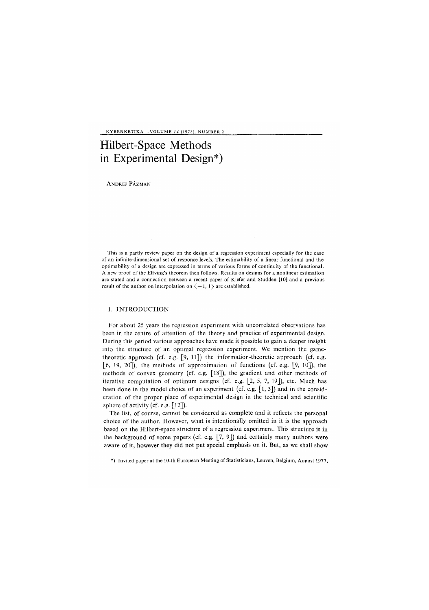KYBERNETIKA —VOLUME *14* (1978), NUMBER 2

# Hi*l*bert-Space Methods in Experimental Design\**)*

ANDREJ PÁZMAN

This is a partly review paper on the design of a regression experiment especially for the case of an infinite-dimensional set of responce levels. The estimability of a linear functional and the optimability of a design are expressed in terms of various forms of continuity of the functional. A new proof of the Elfving's theorem then follows. Results on designs for a nonlinear estimation are stated and a connection between a recent paper of Kiefer and Studden [10] and a previous result of the author on interpolation on  $\langle -1, 1 \rangle$  are established.

#### 1. INTRODUCTION

For about 25 years the regression experiment with uncorrelated observations has been in the centre of attention of the theory and practice of experimental design. During this period various approaches have made it possible to gain a deeper insight into the structure of an optimal regression experiment. We mention the gametheoretic approach (cf. e.g. [9, 11]) the information-theoretic approach (cf. e.g. [6, 19, 20]), the methods of approximation of functions (cf. e.g. [9, 10]), the methods of convex geometry (cf. e.g. [18]), the gradient and other methods of iterative computation of optimum designs (cf. e.g. [2, 5, 7, 19]), etc. Much has been done in the model choice of an experiment (cf. e.g. [1, 3]) and in the consideration of the proper place of experimental design in the technical and scientific sphere of activity (cf. e.g. [12]).

The list, of course, cannot be considered as complete and it reflects the personal choice of the author. However, what is intentionally omitted in it is the approach based on the Hilbert-space structure of a regression experiment. This structure is in the background of some papers (cf. e.g.  $[7, 9]$ ) and certainly many authors were aware of it, however they did not put special emphasis on it. But, as we shall show

\*) Invited paper at the 10-th European Meeting of Statisticians, Leuven, Belgium, August 1977.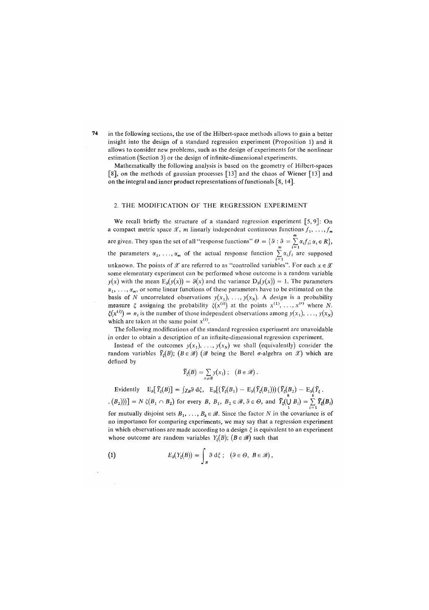in the following sections, the use of the Hilbert-space methods allows to gain a better insight into the design of a standard regression experiment (Proposition l) and it allows to consider new problems, such as the design of experiments for the nonlinear estimation *(*Section 3) or the design of infinite-dimensional experiments.

Mathematically the following analysis is based on the geometry of Hilbert-spaces [8], on the methods of gaussian processes [13] and the chaos of Wiener [13] and on the integral and inner product representations of functionals [8,14].

### 2. THE MODIFICATION OF THE REGRESSION EXPERIMENT

We recall briefly the structure of a standard regression experiment  $[5, 9]$ : On a compact metric space  $\mathscr X$ , *m* linearly independent continuous functions  $f_1, \ldots, f_m$ are given. They span the set of all "response functions"  $\Theta = \{\vartheta : \vartheta = \sum_{i=1}^m \alpha_i f_i; \alpha_i \in R\}$ ,<br>the parameters  $\alpha_1, \ldots, \alpha_m$  of the actual response function  $\sum_{i=1}^m \alpha_i f_i$  are supposed unknown. The points of  $\mathscr X$  are referred to as "controlled variables". For each  $x \in \mathscr X$ some elementary experiment can be performed whose outcome is a random variable  $y(x)$  with the mean  $E_3(y(x)) = \vartheta(x)$  and the variance  $D_3(y(x)) = 1$ . The parameters  $\alpha_1, \ldots, \alpha_m$ , or some linear functions of these parameters have to be estimated on the  $\frac{1}{2}$  hosis of N uncorrelated observations  $y(x)$   $y(x)$   $A$  design is a probability measure  $\xi$  assigning the probability  $\xi(x^{(i)})$  at the points  $x^{(1)}, \ldots, x^{(r)}$  where N.  $\mathcal{E}(\mathbf{a}(0)) = \mathbf{a}$  is the probability  $\mathcal{E}(\mathbf{x} \mid \mathbf{a})$  at the points  $\mathbf{x} \mid \mathbf{x} \ldots, \mathbf{x}$  where  $\mathbf{a} \cdot \mathbf{b}$  $\mathbf{E}(\mathbf{x} \mid \mathbf{y} = n_i \mathbf{x})$  is the number of those independent observations among  $y(x_1), \ldots, y(x_N)$  is the same noint  $\mathbf{x}^{(i)}$ which are taken at the same point  $x^{(i)}$ .

which are taken at the same point *x* in order to obtain a description of an infinite-dimensional regression experiment.

Instead of the outcomes  $y(x_1), \ldots, y(x_n)$  we shall (equivalently) consider the Instead of the outcomes *y(x1), ...,y(xN)* we shall (equivalently) consider the  $r^{(B)}$ ;  $\left( \frac{B}{B} \right)$ ; (B e S) (SS being the Borel c-algebra on S<sub>S</sub> which are defined by

$$
\widetilde{Y}_{\xi}(B) = \sum_{x_i \in B} y(x_i) ; \quad (B \in \mathscr{B}).
$$

Evidently  $E_3[\tilde{Y}_\xi(B)] = \int \chi_B \vartheta d\xi$ ,  $E_3[(\tilde{Y}_\xi(B_1) - E_3(\tilde{Y}_\xi(B_1)))(\tilde{Y}_\xi(B_2) - E_3(\tilde{Y}_\xi))]$ <br>  $E_3[\tilde{Y}_\xi(B_1 \cap B_2)]$  for every B,  $B_1, B_2 \in \mathcal{B}, \vartheta \in \Theta$ , and  $\tilde{Y}_\xi(\bigcup B_i) = \sum_{i=1}^n \tilde{Y}_\xi(B_i)$ for mutually disjoint sets  $B_1, \ldots, B_k \in \mathcal{B}$ . Since the factor N in the covariance is of

no importance for comparing experiments, we may say that a regression experiment in which observations are made according to a design  $\xi$  is equivalent to an experiment whose outcome are random variables  $Y_{\xi}(B)$ ; ( $B \in \mathcal{B}$ ) such that

(1) 
$$
E_{\delta}(Y_{\xi}(B)) = \int_{B} \vartheta \, d\xi ; \quad (\vartheta \in \Theta, B \in \mathscr{B}),
$$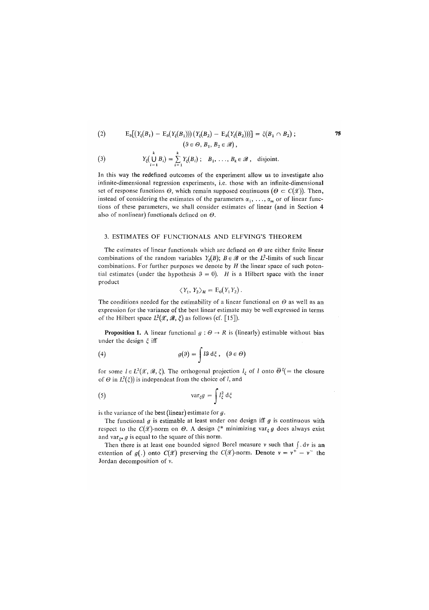(2) 
$$
E_3[(Y_{\xi}(B_1) - E_3(Y_{\xi}(B_1)))(Y_{\xi}(B_2) - E_3(Y_{\xi}(B_2)))] = \xi(B_1 \cap B_2);
$$
  

$$
(\theta \in \Theta, B_1, B_2 \in \mathscr{B}),
$$

(3) 
$$
Y_{\xi}\left(\bigcup_{i=1}^{k} B_{i}\right)=\sum_{i=1}^{k} Y_{\xi}(B_{i}) ; B_{1}, \ldots, B_{k} \in \mathscr{B}, \text{ disjoint.}
$$

In this way the redefined outcomes of the experiment allow us to investigate also infinite-dimensional regression experiments, i.e. those with an infinite-dimensional set of response functions  $\Theta$ , which remain supposed continuous ( $\Theta \subset C(\mathcal{X})$ ). Then, instead of considering the estimates of the parameters  $\alpha_1, \ldots, \alpha_m$  or of linear functions of these parameters, we shall consider estimates of linear (and in Section 4 also of nonlinear) functionals defined on  $\Theta$ .

#### 3. ESTIMATES OF FUNCTIONALS AND ELFVING'S THEOREM

The estimates of linear functionals which are defined on  $\Theta$  are either finite linear combinations of the random variables  $Y_{\xi}(B)$ ;  $B \in \mathscr{B}$  or the  $L^2$ -limits of such linear combinations. For further purposes we denote by *H* the linear space of such potential estimates (under the hypothesis  $\theta = 0$ ). *H* is a Hilbert space with the inner product

$$
\langle Y_1, Y_2 \rangle_H = \mathrm{E}_0(Y_1 Y_2).
$$

The conditions needed for the estimability of a linear functional on  $\Theta$  as well as an expression for the variance of the best linear estimate may be well expressed in terms of the Hilbert space  $L^2(\mathscr{X}, \mathscr{B}, \xi)$  as follows (cf. [15]).

**Proposition 1.** A linear functional  $g : \Theta \to R$  is (linearly) estimable without bias under the design  $\xi$  iff

(4) 
$$
g(\theta) = \int l \theta \, d\xi, \quad (\theta \in \Theta)
$$

for some  $l \in L^2(\mathcal{X}, \mathcal{B}, \xi)$ . The orthogonal projection  $l_{\xi}$  of l onto  $\bar{\Theta}^{\xi}$  = the closure of  $\Theta$  in  $L^2(\xi)$ ) is independent from the choice of *l*, and

(5) 
$$
\operatorname{var}_{\xi}g = \int l_{\xi}^{2} d\xi
$$

is the variance of the best (linear) estimate for *g.* 

The functional *g* is estimable at least under one design iff *g* is continuous with respect to the  $C(\mathscr{X})$ -norm on  $\Theta$ . A design  $\xi^*$  minimizing var<sub> $\xi$ </sub> g does always exist and var $_{z*}$  g is equal to the square of this norm.

Then there is at least one bounded signed Borel measure  $v$  such that  $\int dv$  is an extention of  $g(.)$  onto  $C(\mathcal{X})$  preserving the  $C(\mathcal{X})$ -norm. Denote  $v = v^+ - v^-$  the Jordan decomposition of v.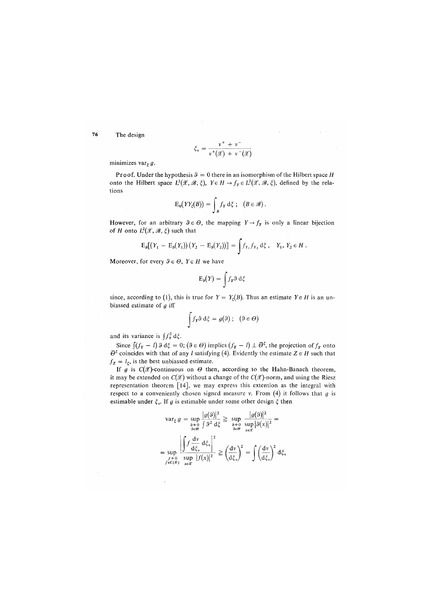76 The design

$$
\xi_{\nu} = \frac{\nu^{+} + \nu^{-}}{\nu^{+}(\mathcal{X}) + \nu^{-}(\mathcal{X})}
$$

minimizes var<sub> $\xi$ </sub> g.

**Proof.** Under the hypothesis  $\theta = 0$  there in an isomorphism of the Hilbert space *H* onto the Hilbert space  $L^2(\mathscr{X}, \mathscr{B}, \xi)$ ,  $Y \in H \to f_Y \in L^2(\mathscr{X}, \mathscr{B}, \xi)$ , defined by the relations

$$
E_0(YY_{\xi}(B)) = \int_B f_Y d\xi ; (B \in \mathscr{B}).
$$

However, for an arbitrary  $9 \in \Theta$ , the mapping  $Y \rightarrow f_Y$  is only a linear bijection of *H* onto  $L^2(\mathscr{X}, \mathscr{B}, \xi)$  such that

$$
E_9[(Y_1 - E_3(Y_1))(Y_2 - E_3(Y_2))] = \int f_{Y_1} f_{Y_2} d\xi, \quad Y_1, Y_2 \in H.
$$

Moreover, for every  $\vartheta \in \Theta$ ,  $Y \in H$  we have

$$
E_9(Y) = \int f_Y \vartheta d\xi
$$

since, according to (1), this is true for  $Y = Y<sub>z</sub>(B)$ . Thus an estimate  $Y \in H$  is an unbiassed estimate of *g* iff

$$
\int f_{\mathbf{r}} \vartheta \, d\xi = g(\vartheta) \, ; \, (\vartheta \in \varTheta)
$$

and its variance is  $\int f_Y^2 d\xi$ .

Since  $\int (f_Y - l) \, \theta \, d\xi = 0$ ;  $(\theta \in \Theta)$  implies  $(f_Y - l) \perp \overline{\Theta}^{\xi}$ , the projection of  $f_Y$  onto  $\overline{\Theta}^{\xi}$  coincides with that of any *l* satisfying (4). Evidently the estimate  $Z \in H$  such that  $f_z = l_\xi$ , is the best unbiassed estimate.

If  $g$  is  $C(\mathscr{X})$ -continuous on  $\Theta$  then, according to the Hahn-Banach theorem, it may be extended on  $C(\mathcal{X})$  without a change of the  $C(\mathcal{X})$ -norm, and using the Riesz representation theorem [14], we may express this extention as the integral with respect to a conveniently chosen signed measure v. From (4) it follows that *g* is estimable under  $\xi_v$ . If g is estimable under some other design  $\xi$  then

$$
\begin{aligned}\n\text{var}_{\xi} \, g &= \sup_{\substack{\delta \neq 0 \\ \delta \in \Theta}} \frac{|g(\mathfrak{H})|^2}{\int \mathfrak{F}^2 \, \mathrm{d}\xi} \ge \sup_{\substack{\delta \neq 0 \\ \delta \in \Theta}} \frac{|g(\mathfrak{H})|^2}{\sup_{\mathfrak{H} \in \Theta}} (g(x)|^2) \\
&= \sup_{f \in \mathcal{G}} \left| \frac{\int f \frac{\mathrm{d}v}{\mathrm{d}\xi_v}}{\sup f(x)} \right|^2 \ge \left( \frac{\mathrm{d}v}{\mathrm{d}\xi_v} \right)^2 = \int \left( \frac{\mathrm{d}v}{\mathrm{d}\xi_v} \right)^2 \mathrm{d}\xi_v \\
f^{\text{eq}} &= \exp \left( f(x) \right)^2.\n\end{aligned}
$$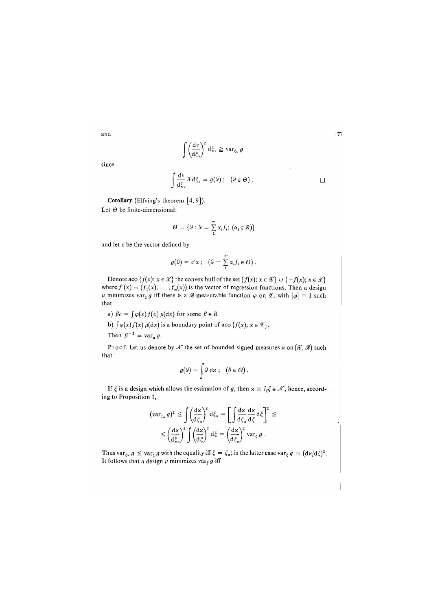$$
\cdot \tau
$$

$$
_{\rm since}
$$

and

$$
\int \frac{dv}{d\xi_v} \vartheta d\xi_v = g(\vartheta); \quad (\vartheta \in \Theta).
$$

Corollary (Elfving's theorem [4, 9]).

Let *0* be finite-dimensional:

$$
\Theta = \{ \vartheta : \vartheta = \sum_{i=1}^{m} \alpha_i f_i; \ (\alpha_i \in R) \}
$$

 $\left(\frac{\mathrm{d}v}{\mathrm{d}\xi_v}\right)^2 \mathrm{d}\xi_v \geq \mathrm{var}_{\xi_v}$ 

and let c be the vector defined by

$$
g(\theta) = c'\alpha \; ; \; \; (\theta = \sum_{i=1}^{m} \alpha_{i} f_{i} \in \Theta).
$$

Denote aco  $\{f(x); x \in \mathcal{X}\}$  the convex hull of the set  $\{f(x); x \in \mathcal{X}\} \cup \{-f(x); x \in \mathcal{X}\}\$ where  $f'(x) = (f_1(x), \ldots, f_m(x))$  is the vector of regression functions. Then a design  $\mu$  minimizes var<sub>s</sub>  $g$  iff there is a  $\mathscr{B}$ -measurable function  $\varphi$  on  $\mathscr{X}$ , with  $|\varphi| \equiv 1$  such that

a) 
$$
\beta c = \int \varphi(x) f(x) \mu(dx)
$$
 for some  $\beta \in R$ 

b)  $\int \varphi(x) f(x) \mu(dx)$  is a boundary point of aco  $\{f(x); x \in \mathcal{X}\}\.$ 

Then  $\beta^{-2} = \text{var}_{\mu} g$ .

Proof. Let us denote by  $\mathcal N$  the set of bounded signed measures  $x$  on  $(\mathcal X, \mathcal B)$  such that

$$
g(\theta) = \int \theta \, \mathrm{d}x \, ; \, \left( \theta \in \Theta \right).
$$

If  $\xi$  is a design which allows the estimation of g, then  $x \equiv l_{\xi} \xi \in \mathcal{N}$ , hence, according to Proposition 1,

$$
(\operatorname{var}_{\xi_{\mathbf{x}}} g)^2 \leq \int \left(\frac{d\mathbf{x}}{d\xi_{\mathbf{x}}}\right)^2 d\xi_{\mathbf{x}} = \left[\int \frac{d\mathbf{x}}{d\xi_{\mathbf{x}}} \frac{d\mathbf{x}}{d\xi} d\xi\right]^2 \leq
$$
  

$$
\leq \left(\frac{d\mathbf{x}}{d\xi_{\mathbf{x}}}\right)^2 \int \left(\frac{d\mathbf{x}}{d\xi}\right)^2 d\xi = \left(\frac{d\mathbf{x}}{d\xi_{\mathbf{x}}}\right)^2 \operatorname{var}_{\xi} g.
$$

Thus var<sub> $\xi_{\mathbf{z}} g \leq \text{var}_{\xi} g$  with the equality iff  $\xi = \xi_{\mathbf{z}}$ ; in the latter case var $_{\xi} g = (d\mathbf{z}/d\xi)^2$ .</sub> It follows that a design  $\mu$  minimizes var<sub> $\xi$ </sub>  $g$  iff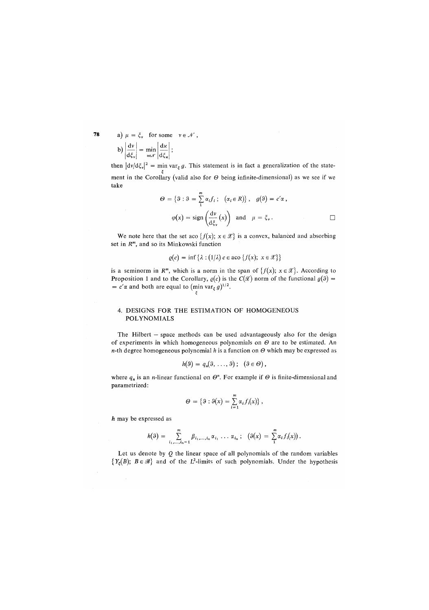78 a)  $\mu = \xi_v$  for some  $v \in \mathcal{N}$ ,

$$
b)\left|\frac{dv}{d\xi_v}\right| = \min_{\varkappa \in \mathcal{N}} \left|\frac{d\varkappa}{d\xi_{\varkappa}}\right|;
$$

then  $|dv/d\xi_v|^2 = \min var_\xi g$ . This statement is in fact a generalization of the state*i*  ment in the Corollary *(*valid also for *0* being infinite-dimensional) as we see if we take

$$
\Theta = \{ \theta : \theta = \sum_{i=1}^{m} \alpha_{i} f_{i}; \ (\alpha_{i} \in R) \}, \ g(\theta) = c' \alpha ,
$$

$$
\varphi(x) = \text{sign}\left(\frac{d\nu}{d\xi_{\nu}}(x)\right) \text{ and } \mu = \xi_{\nu} .
$$

We note here that the set aco  $\{f(x); x \in \mathcal{X}\}\)$  is a convex, balanced and absorbing set in  $R^m$ , and so its Minkowski function

 $e(c) = \inf \{ \lambda : (1/\lambda) \ c \in \text{aco } \{ f(x); \ x \in \mathcal{X} \} \}$ 

is a seminorm in  $R^m$ , which is a norm in the span of  $\{f(x); x \in \mathcal{X}\}\)$ . According to **Proposition 1 and to the Corollary,**  $\varrho(c)$  is the  $C(\mathcal{X})$  norm of the functional  $g(\theta)$  =  $= c' \alpha$  and both are equal to (min var<sub>*g*</sub> g)<sup>1/2</sup>.

## 4. DESIGNS FOR THE ESTIMATION OF HOMOGENEOUS POLYNOMIALS

The Hilbert — space methods can be used advantageously also for the design of experiments in which homogeneous polynomials on *0* are to be estimated. An  $n$ -th degree homogeneous polynomial *h* is a function on  $\Theta$  which may be expressed as

$$
h(\vartheta)=q_n(\vartheta,\ldots,\vartheta); \quad (\vartheta\in\Theta),
$$

where  $q_n$  is an *n*-linear functional on  $\Theta^n$ . For example if  $\Theta$  is finite-dimensional and parametrized:

$$
\Theta = \{ \vartheta : \vartheta(x) = \sum_{i=1}^m \alpha_i f_i(x) \},
$$

*h* may be expressed as

$$
h(\theta) = \sum_{i_1,\dots,i_n=1}^m \beta_{i_1,\dots,i_n} \alpha_{i_1} \dots \alpha_{i_n}; \quad (\theta(x) = \sum_{i=1}^m \alpha_i f_i(x)).
$$

Let us denote by *Q* the linear space of all polynomials of the random variables  ${Y<sub>z</sub>(B)}$ ;  $B \in \mathscr{B}$ } and of the L<sup>2</sup>-limits of such polynomials. Under the hypothesis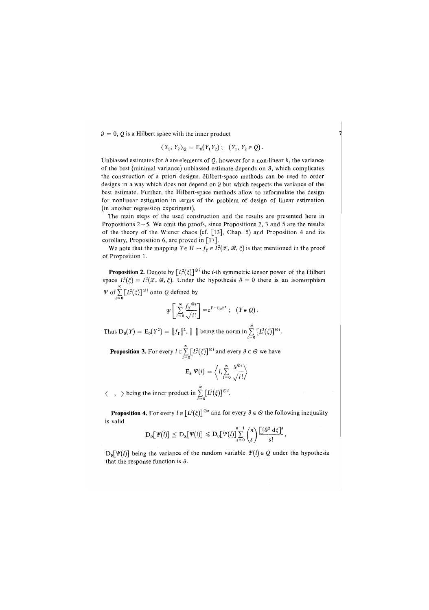$3 = 0$ , *Q* is a Hilbert space with the inner product

$$
\langle Y_1, Y_2 \rangle_{\mathcal{Q}} = \mathbb{E}_0(Y_1 Y_2); \quad (Y_1, Y_2 \in \mathcal{Q}).
$$

Unbiassed estimates for *h* are elements of *Q,* however for a non-linear *h,* the variance of the best (minimal variance) unbiassed estimate depends on 3, which complicates the construction of a priori designs. Hilbert-space methods can be used to order designs in a way which does not depend on 3 but which respects the variance of the best estimate. Further, the Hilbert-space methods allow to reformulate the design for nonlinear estimation in terms of the problem of design of linear estimation (in another regression experiment).

The main steps of the used construction and the results are presented here in Propositions  $2 - 5$ . We omit the proofs, since Propositions 2, 3 and 5 are the results of the theory of the Wiener chaos (cf. [13], Chap. 5) and Proposition 4 and its corollary, Proposition 6, are proved in [17].

We note that the mapping  $Y \in H \to f_Y \in L^2(\mathcal{X}, \mathcal{B}, \xi)$  is that mentioned in the proof of Proposition 1.

**Proposition 2.** Denote by  $[L^2(\xi)]^{\odot i}$  the *i*-th symmetric tensor power of the Hilbert space  $L^2(\xi) = L^2(\mathcal{X}, \mathcal{B}, \xi)$ . Under the hypothesis  $\theta = 0$  there is an isomorphism *V* of  $\sum [L^2(\xi)]^{\odot i}$  onto *Q* defined by

$$
\Psi\left[\sum_{i=0}^{\infty}\frac{f_{\mathbf{y}}^{(0)}}{\sqrt{i!}}\right] = e^{Y - E_0 Y^2}; \quad (Y \in \mathcal{Q}).
$$

Thus  $D_0(Y) = E_0(Y^2) = ||f_Y||^2$ ,  $|| \cdot ||$  being the norm in  $\sum [L^2(\xi)]^{\odot 2}$ .

**Proposition 3.** For every  $l \in \sum_{i=0} [L^2(\xi)]^{\odot i}$  and every  $\vartheta \in \Theta$  we have

$$
\mathrm{E}_{\mathfrak{s}}\ \Psi(l)=\left\langle l,\sum_{i=0}^{\infty}\frac{\vartheta^{\otimes i}}{\sqrt{i\,!}}\right\rangle
$$

 $\langle , \rangle$  being the inner product in  $\sum_{i=0} [L^2(\xi)]^{\odot i}$ .

**Proposition 4.** For every  $l \in [L^2(\xi)]^{\odot n}$  and for every  $\vartheta \in \Theta$  the following inequality is valid

$$
D_0[\Psi(l)] \leq D_9[\Psi(l)] \leq D_0[\Psi(l)] \sum_{s=0}^{n-1} {n \choose s} \frac{\left[ \int \theta^2 d\xi \right]^s}{s!},
$$

 $D_{\theta}[\Psi(l)]$  being the variance of the random variable  $\Psi(l) \in Q$  under the hypothesis that the response function is 3.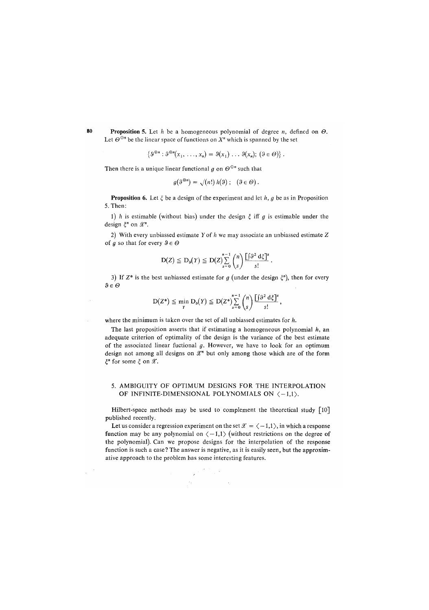**80 Proposition 5**. Let *h* be a homogeneous polynomial of degree *n,* defined on *0.*  Let  $\Theta^{\odot n}$  be the linear space of functions on X<sup>n</sup> which is spanned by the set *"* be the linear space of functions on *X"* which is spanned by the set

*{\$®»:&®Xx1,...,xn) = l>(x1)...\$(xn);(Se0)}.* 

Then there is a unique linear functional q on  $\Theta^{\odot n}$  such that Then there is a unique linear functional *g* on <9°" such that

$$
g(\vartheta^{\otimes n}) = \sqrt{(n!) h(\vartheta)}; \quad (\vartheta \in \Theta).
$$

**Proposition 6.** Let  $\xi$  be a design of the experiment and let  $h$ ,  $g$  be as in Proposition 5. Then:

1) *h* is estimable *(*without bias) under the design § iff *a* is estimable under the design  $\xi^n$  on  $\mathscr{X}^n$ .

2) With every unbiassed estimate *Y* of *h* we may associate an unbiassed estimate Z of g so that for every  $\vartheta \in \Theta$ 

$$
D(Z) \leq D_{\mathfrak{s}}(Y) \leq D(Z) \sum_{s=0}^{n-1} {n \choose s} \frac{\left[\int \vartheta^2 d\zeta\right]^s}{s!}.
$$

it unbiassed estimate for *g* (under the des 3) If Z\* is the best unbiassed estimate for *g* (under the design *£"),* then for every *3e0* 

$$
D(Z^*)\leqq \min_Y D_\vartheta(Y)\leqq D(Z^*)\sum_{s=0}^{n-1}\binom{n}{s}\frac{\left[\int\!\!\!\partial^2\,d\xi\right]^s}{s!},
$$

where the minimum is taken over the set of all unbiassed estimates for *h.* 

The last proposition asserts that if estimating a homogeneous polynomial *h,* an adequate criterion of optimality of the design is the variance of the best estimate of the associated linear fuctional *g.* However, we have to look for an optimum design not among all designs on  $\mathcal{X}^n$  but only among those which are of the form  $\xi^n$  for some  $\xi$  on  $\mathscr{X}$ .

## 5. AMBIGUITY OF OPTIMUM DESIGNS FOR THE INTERPOLATION OF INFINITE-DIMENSIONAL POLYNOMIALS ON  $\langle -1,1 \rangle$ .

Hilbert-space methods may be used to complement the theoretical study [10] published recently.

Let us consider a regression experiment on the set  $\mathcal{X} = \langle -1, 1 \rangle$ , in which a response function may be any polynomial on  $\langle -1,1 \rangle$  (without restrictions on the degree of the polynomial). Can we propose designs for the interpolation of the response function is such a case? The answer is negative, as it is easily seen, but the approximative approach to the problem has some interesting features.

> $\sim 10^{-10}$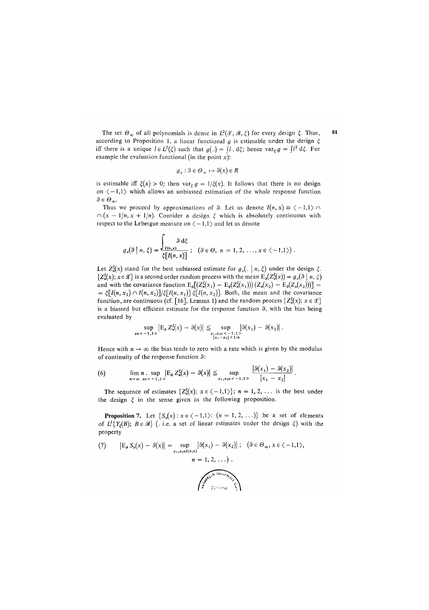The set  $\Theta_{\infty}$  of all polynomials is dense in  $L^2(\mathcal{X}, \mathcal{B}, \xi)$  for every design  $\xi$ . Thus, according to Proposition 1, a linear functional  $g$  is estimable under the design  $\xi$ iff there is a unique  $l \in L^2(\xi)$  such that  $g(.) = \int l \cdot d\xi$ ; hence var<sub> $\xi$ </sub>  $g = \int l^2 d\xi$ . For example the evaluation functional (in the point  $x$ ):

$$
g_x: \vartheta \in \Theta_\infty \mapsto \vartheta(x) \in R
$$

is estimable iff  $\xi(x) > 0$ ; then var<sub> $\xi$ </sub>  $g = 1/\xi(x)$ . It follows that there is no design on  $\langle -1,1 \rangle$  which allows an unbiassed estimation of the whole response function  $\vartheta \in \varTheta_\infty.$ 

Thus we proceed by approximations of  $\theta$ . Let us denote  $I(n, x) \equiv \langle -1, 1 \rangle \cap$  $\cap$   $(x - 1/n, x + 1/n)$ . Consider a design  $\xi$  which is absolutely continuous with respect to the Lebesgue measure on  $\langle -1,1 \rangle$  and let us denote

$$
g_x(9 \mid n, \xi) = \frac{\int_{I(n,x)} 9 \, d\xi}{\xi[I(n,x)]}; \quad (9 \in \Theta, n = 1, 2, ..., x \in \langle -1,1 \rangle).
$$

Let  $Z^{\xi}_{n}(x)$  stand for the best unbiassed estimate for  $g_{x}(\cdot | n, \xi)$  under the design  $\xi$ .  $\{Z_n^{\xi}(x); x \in \mathcal{X}\}\$ is a second order random process with the mean  $E_0(Z_n^{\xi}(x)) = g_x(9 \mid n, \xi)$ and with the covariance function  $E_9[(Z_n^{\xi}(x_1) - E_9(Z_n^{\xi}(x_1)))(Z_n(x_2) - E_9(Z_n(x_2)))] =$  $= \xi[I(n, x_1) \cap I(n, x_2)]/\xi[I(n, x_1)]$   $\xi[I(n, x_2)]$ . Both, the mean and the covariance function, are continuous (cf. [16], Lemma 1) and the random process  $\{Z_n^{\xi}(x); x \in \mathcal{X}\}\$ is a biassed but efficient estimate for the response function *8,* with the bias being evaluated by

sup |EsZ«(x)-S(x)| \_ sup |3(x/) - 3(x2)[. **X6<-1,1 > \*1,JC<sup>2</sup> 6<-1,1> |\*i-\* <sup>2</sup> |<l/ »** 

Hence with  $n \to \infty$  the bias tends to zero with a rate which is given by the modulus of continuity of the response function 3:

(6) 
$$
\lim_{n \to \infty} n \cdot \sup_{x \in \{-1, 1\}} |E_3 Z_n^{\xi}(x) - \vartheta(x)| \leq \sup_{x_1, x_2 \in \{-1, 1\}} \frac{|\vartheta(x_1) - \vartheta(x_2)|}{|x_1 - x_2|}.
$$

The sequence of estimates  $\{Z_n^{\xi}(x); x \in \langle -1,1 \rangle\}; n = 1, 2, \ldots$  is the best under the design  $\xi$  in the sense given in the following proposition.

**Proposition 7.** Let  $\{S_n(x) : x \in \{-1,1\} : (n = 1, 2, ...) \}$  be a set of elements of  $L^2\{Y_\xi(B); B \in \mathscr{B}\}\$  (. i.e. a set of linear estimates under the design  $\xi$ ) with the property

(7) 
$$
|E_{\vartheta} S_n(x) - \vartheta(x)| = \sup_{x_1, x_2 \in I(n, x)} |\vartheta(x_1) - \vartheta(x_2)|; \quad (\vartheta \in \Theta_{\infty}, x \in \langle -1, 1 \rangle, \quad n = 1, 2, ...).
$$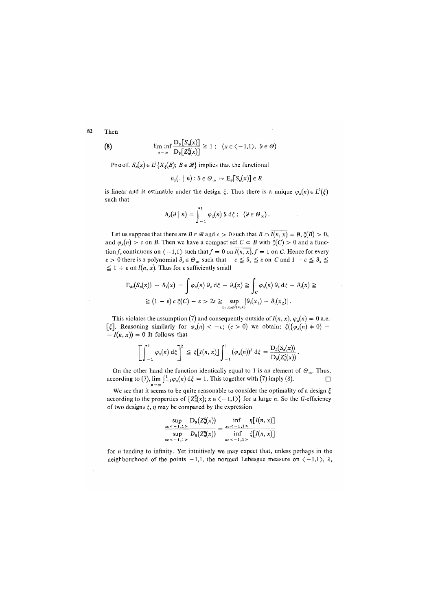82 Then

(8) 
$$
\liminf_{n \to \infty} \frac{\mathbf{D}_{\mathfrak{g}}[S_n(x)]}{\mathbf{D}_{\mathfrak{g}}[Z_n^{\sharp}(x)]} \ge 1 ; \quad (x \in \langle -1, 1 \rangle, \ \ \mathfrak{g} \in \Theta)
$$

**Proof.**  $S_n(x) \in L^2\{X_{\xi}(B); B \in \mathcal{B}\}\)$  implies that the functional Proof. 5"(x) e L<sup>2</sup>

$$
h_x(. \mid n) : \vartheta \in \varTheta_{\infty} \mapsto \mathrm{E}_{\vartheta}[S_n(x)] \in R
$$

is linear and is estimable under the design  $\xi$ . Thus there is a unique  $\varphi_x(n) \in L^2(\xi)$ such that

$$
h_x(\vartheta \mid n) = \int_{-1}^1 \varphi_x(n) \vartheta d\xi ; \quad (\vartheta \in \Theta_\infty).
$$

Let us suppose that there are  $B \in \mathscr{B}$  and  $c > 0$  such that  $B \cap \overline{I(n, x)} = \emptyset$ ,  $\xi(B) > 0$ , and  $\varphi_x(n) > c$  on *B*. Then we have a compact set  $C \subset B$  with  $\xi(C) > 0$  and a function f, continuous on  $\langle -1,1 \rangle$  such that  $f = 0$  on  $\overline{I(n, x)}$ ,  $f = 1$  on C. Hence for every  $\varepsilon > 0$  there is a polynomial  $\vartheta_{\varepsilon} \in \Theta_{\infty}$  such that  $-\varepsilon \leq \vartheta_{\varepsilon} \leq \varepsilon$  on C and  $1 - \varepsilon \leq \vartheta_{\varepsilon} \leq$  $\leq 1 + \varepsilon$  on  $I(n, x)$ . Thus for  $\varepsilon$  sufficiently small

$$
E_{\theta\epsilon}(S_n(x)) - \vartheta_{\epsilon}(x) = \int \varphi_x(n) \vartheta_{\epsilon} d\xi - \vartheta_{\epsilon}(x) \geq \int_C \varphi_x(n) \vartheta_{\epsilon} d\xi - \vartheta_{\epsilon}(x) \geq
$$
  
 
$$
\geq (1 - \epsilon) c \xi(C) - \epsilon > 2\epsilon \geq \sup_{x_1, x_2 \in I(n, x)} |\vartheta_{\epsilon}(x_1) - \vartheta_{\epsilon}(x_2)|.
$$

This violates the assumption (7) and consequently outside of  $I(n, x)$ ,  $\varphi_x(n) = 0$  a.e.  $[\xi]$ . Reasoning similarly for  $\varphi_x(n) < -c$ ;  $(c > 0)$  we obtain:  $\xi(\{\varphi_x(n) \neq 0\})$  $-I(n, x)$  = 0 It follows that

$$
\left[\int_{-1}^1 \varphi_x(n) d\xi\right]^2 \leq \xi[I(n,x)] \int_{-1}^1 (\varphi_x(n))^2 d\xi = \frac{D_0(S_n(x))}{D_0(Z_n^{\xi}(x))}.
$$

On the other hand the function identically equal to 1 is an element of  $\Theta_{\infty}$ . Thus, according to (7),  $\lim_{n\to\infty} \int_{1}^{1} \varphi_x(n) d\xi = 1$ . This together with (7) imply (8).

We see that it seems to be quite reasonable to consider the optimality of a design  $\xi$ according to the properties of  $\{Z_n^{\xi}(x); x \in \langle -1,1 \rangle\}$  for a large *n*. So the *G*-efficiency of two designs  $\xi$ ,  $\eta$  may be compared by the expression

$$
\frac{\sup_{x \in \le -1, 1>} D_3(Z_n^s(x))}{\sup_{x \in \le -1, 1>} D_3(Z_n^s(x))} = \frac{\inf_{x \in \le -1, 1>} \eta[I(n, x)]}{\inf_{x \in \le -1, 1>} \xi[I(n, x)]}
$$

for n tending to infinity. Yet intuitively we may expect that, unless perhaps in the neighbourhood of the points  $-1,1$ , the normed Lebesgue measure on  $\langle -1,1 \rangle$ ,  $\lambda$ ,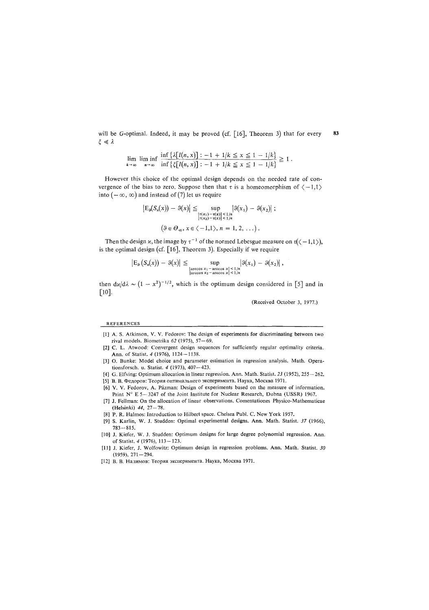will be G-optimal. Indeed, it may be proved (cf. [16], Theorem 3) that for every  $\xi \ll \lambda$ 

$$
\lim_{k \to \infty} \lim_{n \to \infty} \inf \left\{ \frac{\lambda[I(n, x)] : -1 + 1/k \le x \le 1 - 1/k]}{\inf \left\{ \xi[I(n, x)] : -1 + 1/k \le x \le 1 - 1/k \right\}} \ge 1.
$$

However this choice of the optimal design depends on the needed rate of convergence of the bias to zero. Suppose then that  $\tau$  is a homeomorphism of  $\langle -1,1 \rangle$ into  $(-\infty, \infty)$  and instead of (7) let us require

$$
|E_3(S_n(x)) - \vartheta(x)| \le \sup_{\substack{|\tau(x_1) - \tau(x)| < 1/n \\ |\tau(x_2) - \tau(x)| < 1/n}} |\vartheta(x_1) - \vartheta(x_2)| ;
$$
  

$$
(\vartheta \in \Theta_\infty, x \in \langle -1, 1 \rangle, n = 1, 2, ...).
$$

Then the design *x*, the image by  $\tau^{-1}$  of the normed Lebesgue measure on  $\tau(\langle -1,1 \rangle)$ , is the optimal design (cf. [16], Theorem 3). Especially if we require

$$
\left|E_9(S_n(x)) - \vartheta(x)\right| \le \sup_{\substack{\text{arccos } x_1-\text{arccos } x \le 1/n \\ \text{arccos } x_2-\text{arccos } x \le 1/n}} \left|\vartheta(x_1) - \vartheta(x_2)\right|,
$$

then  $dx/d\lambda \sim (1 - x^2)^{-1/2}$ , which is the optimum design considered in [5] and in [10].

(Received October 3, 1977.)

## REFERENCES

- [1] A. S. Atkinson, V. V. Fedorov: The design of experiments for discriminating between two rival models. Biometrika *62* (1975), 57—69.
- [2] C. L. Atwood: Convergent design sequences for sufficiently regular optimality criteria. Ann. of Statist. 4 (1976), 1124-1138.
- [3] O. Bunke: Model choice and parameter estimation in regression analysis. Math. Operationsforsch. u. Statist. *4* (1973), 407—423.
- [4] G. Elfving: Optimum allocation in linear regression. Ann. Math. Statist. *23* (1952), 255 262. [5] В. В. Федоров: Теория оптимального эксперимента. Наука, Москва 1971.
- [6] V. V. Fedorov, A. Pazman: Design of experiments based on the measure of information.
- Print N° E 5-3247 of the Joint Institute for Nuclear Research, Dubna (USSR) 1967.
- [7] J. Fellman: On the allocation of linear observations. Comentationes Physico-Mathematicae (Helsinki) 44, 27-78.
- [8] P. R. Halmos: Introduction to Hilbert space. Chelsea Publ. C. New York 1957.
- [9] S. Karlin, W. J. Studden: Optimal experimental designs. Ann. Math. Statist. *37* (1966),  $783 - 815.$
- [10] J. Kiefer, W. J. Studden: Optimum designs for large degree polynomial regression. Ann. of Statist. 4 (1976), 113-123.
- [11] J. Kiefer, J. Wolfowitz: Optimum design in regression problems. Ann. Math. Statist. *30*   $(1959), 271-294.$
- [12] В. В. Налимов: Теория эксперимента. Наука, Москва 1971.